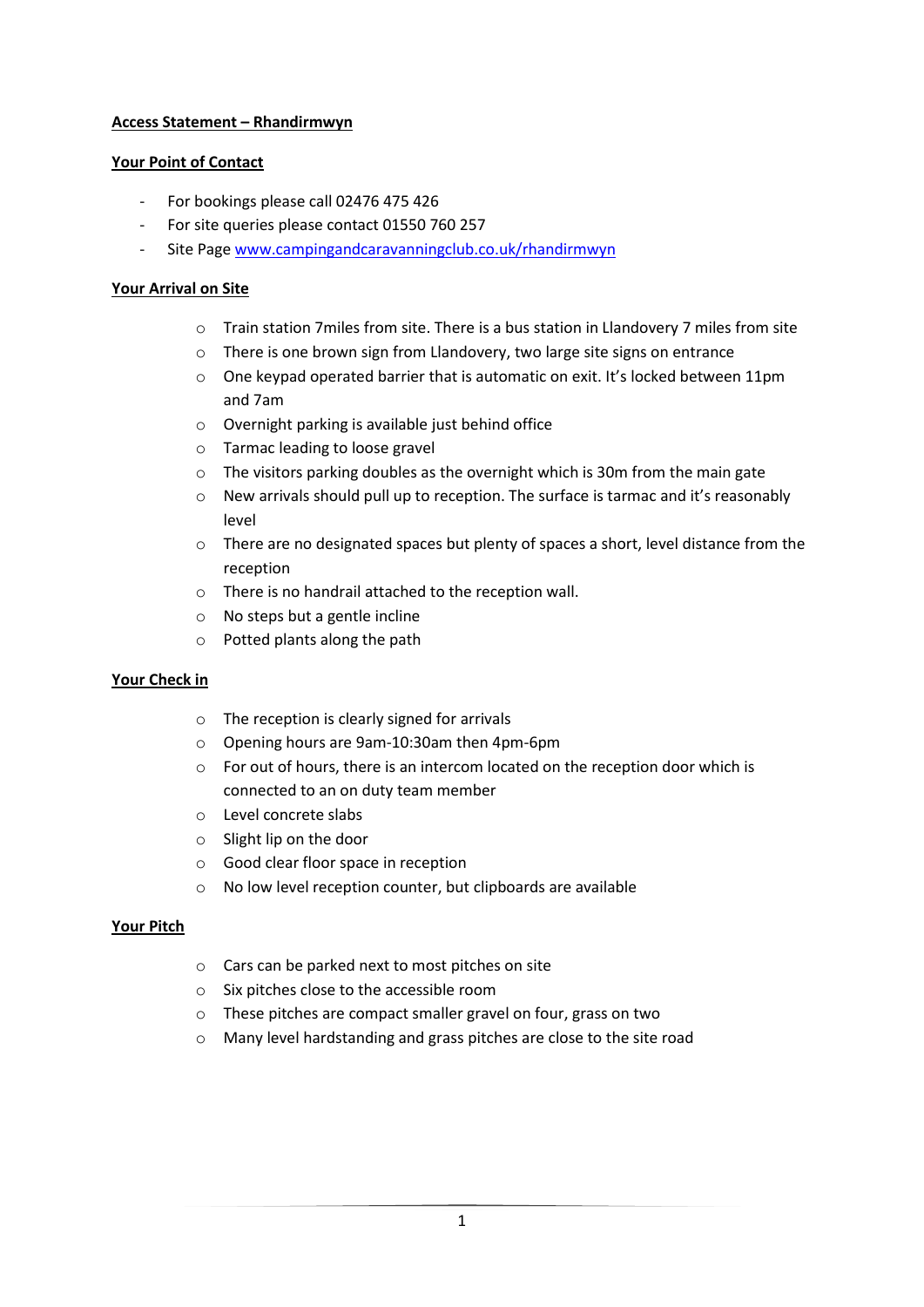# **Access Statement – Rhandirmwyn**

## **Your Point of Contact**

- For bookings please call 02476 475 426
- For site queries please contact 01550 760 257
- Site Page [www.campingandcaravanningclub.co.uk/rhandirmwyn](http://www.campingandcaravanningclub.co.uk/rhandirmwyn)

## **Your Arrival on Site**

- o Train station 7miles from site. There is a bus station in Llandovery 7 miles from site
- o There is one brown sign from Llandovery, two large site signs on entrance
- $\circ$  One keypad operated barrier that is automatic on exit. It's locked between 11pm and 7am
- o Overnight parking is available just behind office
- o Tarmac leading to loose gravel
- o The visitors parking doubles as the overnight which is 30m from the main gate
- o New arrivals should pull up to reception. The surface is tarmac and it's reasonably level
- $\circ$  There are no designated spaces but plenty of spaces a short, level distance from the reception
- o There is no handrail attached to the reception wall.
- o No steps but a gentle incline
- o Potted plants along the path

#### **Your Check in**

- o The reception is clearly signed for arrivals
- o Opening hours are 9am-10:30am then 4pm-6pm
- o For out of hours, there is an intercom located on the reception door which is connected to an on duty team member
- o Level concrete slabs
- o Slight lip on the door
- o Good clear floor space in reception
- o No low level reception counter, but clipboards are available

#### **Your Pitch**

- o Cars can be parked next to most pitches on site
- o Six pitches close to the accessible room
- o These pitches are compact smaller gravel on four, grass on two
- o Many level hardstanding and grass pitches are close to the site road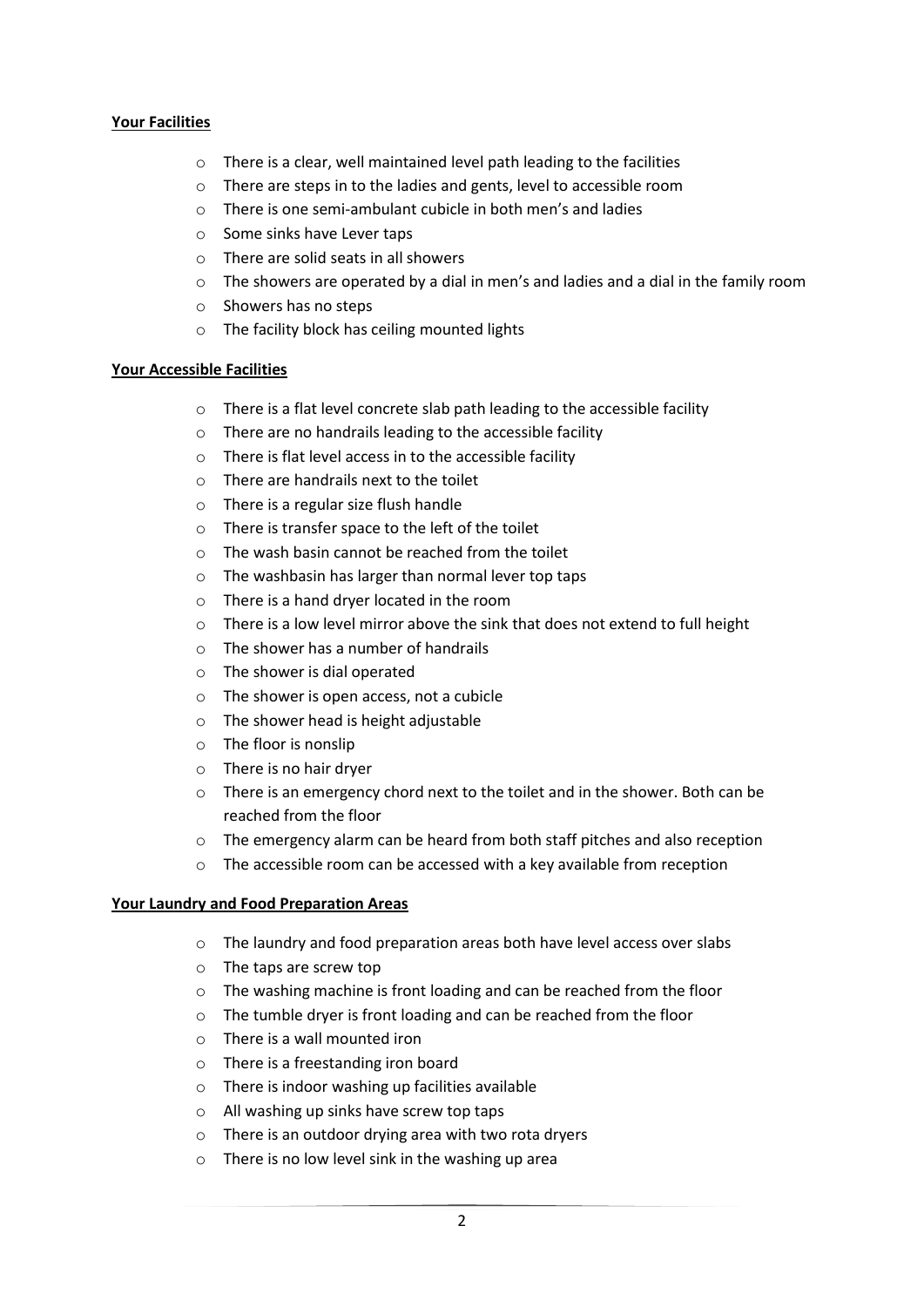## **Your Facilities**

- o There is a clear, well maintained level path leading to the facilities
- o There are steps in to the ladies and gents, level to accessible room
- o There is one semi-ambulant cubicle in both men's and ladies
- o Some sinks have Lever taps
- o There are solid seats in all showers
- $\circ$  The showers are operated by a dial in men's and ladies and a dial in the family room
- o Showers has no steps
- o The facility block has ceiling mounted lights

#### **Your Accessible Facilities**

- o There is a flat level concrete slab path leading to the accessible facility
- o There are no handrails leading to the accessible facility
- o There is flat level access in to the accessible facility
- o There are handrails next to the toilet
- o There is a regular size flush handle
- o There is transfer space to the left of the toilet
- o The wash basin cannot be reached from the toilet
- o The washbasin has larger than normal lever top taps
- o There is a hand dryer located in the room
- o There is a low level mirror above the sink that does not extend to full height
- o The shower has a number of handrails
- o The shower is dial operated
- o The shower is open access, not a cubicle
- o The shower head is height adjustable
- o The floor is nonslip
- o There is no hair dryer
- $\circ$  There is an emergency chord next to the toilet and in the shower. Both can be reached from the floor
- o The emergency alarm can be heard from both staff pitches and also reception
- o The accessible room can be accessed with a key available from reception

#### **Your Laundry and Food Preparation Areas**

- o The laundry and food preparation areas both have level access over slabs
- o The taps are screw top
- o The washing machine is front loading and can be reached from the floor
- o The tumble dryer is front loading and can be reached from the floor
- o There is a wall mounted iron
- o There is a freestanding iron board
- o There is indoor washing up facilities available
- o All washing up sinks have screw top taps
- o There is an outdoor drying area with two rota dryers
- o There is no low level sink in the washing up area